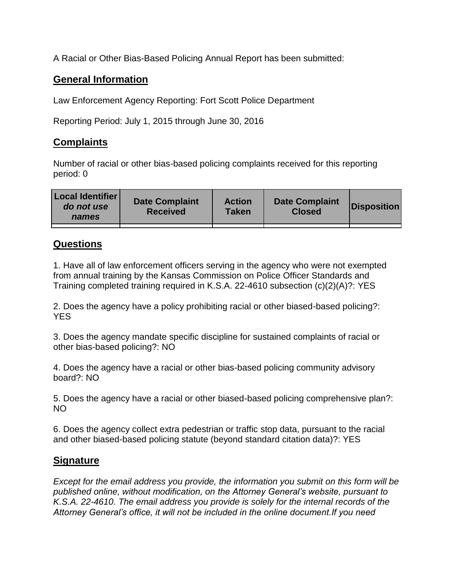A Racial or Other Bias-Based Policing Annual Report has been submitted:

## **General Information**

Law Enforcement Agency Reporting: Fort Scott Police Department

Reporting Period: July 1, 2015 through June 30, 2016

## **Complaints**

Number of racial or other bias-based policing complaints received for this reporting period: 0

| <b>Local Identifier</b><br>do not use<br>names | <b>Date Complaint</b><br><b>Received</b> | <b>Action</b><br><b>Taken</b> | <b>Date Complaint</b><br><b>Closed</b> | Disposition |
|------------------------------------------------|------------------------------------------|-------------------------------|----------------------------------------|-------------|
|                                                |                                          |                               |                                        |             |

## **Questions**

1. Have all of law enforcement officers serving in the agency who were not exempted from annual training by the Kansas Commission on Police Officer Standards and Training completed training required in K.S.A. 22-4610 subsection (c)(2)(A)?: YES

2. Does the agency have a policy prohibiting racial or other biased-based policing?: YES

3. Does the agency mandate specific discipline for sustained complaints of racial or other bias-based policing?: NO

4. Does the agency have a racial or other bias-based policing community advisory board?: NO

5. Does the agency have a racial or other biased-based policing comprehensive plan?: NO

6. Does the agency collect extra pedestrian or traffic stop data, pursuant to the racial and other biased-based policing statute (beyond standard citation data)?: YES

## **Signature**

*Except for the email address you provide, the information you submit on this form will be published online, without modification, on the Attorney General's website, pursuant to K.S.A. 22-4610. The email address you provide is solely for the internal records of the Attorney General's office, it will not be included in the online document.If you need*